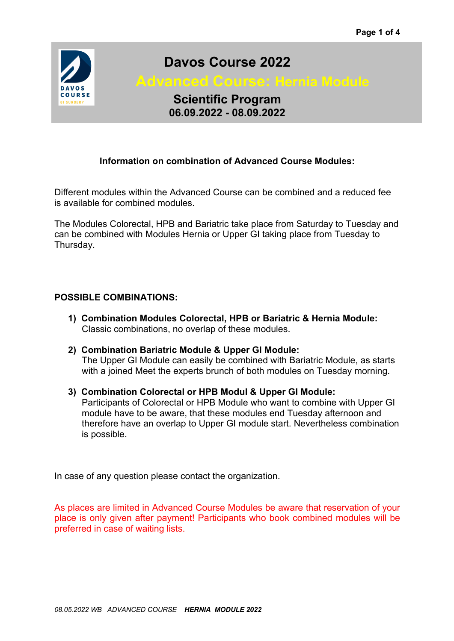

# **Davos Course 2022**

 **Advanced Course: Hernia Module**

**Scientific Program 06.09.2022 - 08.09.2022**

## **Information on combination of Advanced Course Modules:**

Different modules within the Advanced Course can be combined and a reduced fee is available for combined modules.

The Modules Colorectal, HPB and Bariatric take place from Saturday to Tuesday and can be combined with Modules Hernia or Upper GI taking place from Tuesday to Thursday.

## **POSSIBLE COMBINATIONS:**

- **1) Combination Modules Colorectal, HPB or Bariatric & Hernia Module:** Classic combinations, no overlap of these modules.
- **2) Combination Bariatric Module & Upper GI Module:** The Upper GI Module can easily be combined with Bariatric Module, as starts with a joined Meet the experts brunch of both modules on Tuesday morning.
- **3) Combination Colorectal or HPB Modul & Upper GI Module:** Participants of Colorectal or HPB Module who want to combine with Upper GI module have to be aware, that these modules end Tuesday afternoon and therefore have an overlap to Upper GI module start. Nevertheless combination is possible.

In case of any question please contact the organization.

As places are limited in Advanced Course Modules be aware that reservation of your place is only given after payment! Participants who book combined modules will be preferred in case of waiting lists.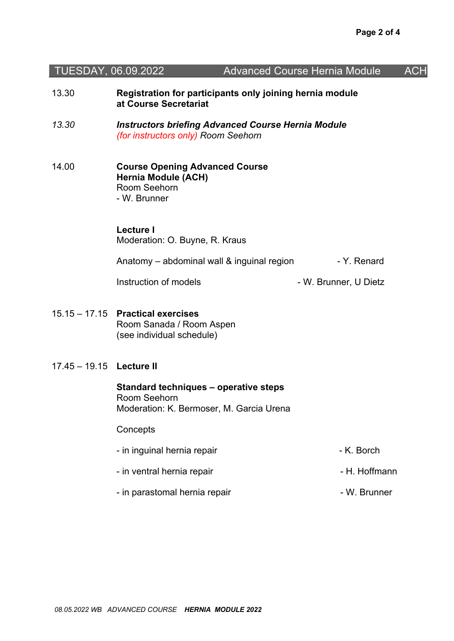| TUESDAY, 06.09.2022      |                                                                                                     | <b>Advanced Course Hernia Module</b> | <b>ACH</b> |
|--------------------------|-----------------------------------------------------------------------------------------------------|--------------------------------------|------------|
| 13.30                    | Registration for participants only joining hernia module<br>at Course Secretariat                   |                                      |            |
| 13.30                    | <b>Instructors briefing Advanced Course Hernia Module</b><br>(for instructors only) Room Seehorn    |                                      |            |
| 14.00                    | <b>Course Opening Advanced Course</b><br><b>Hernia Module (ACH)</b><br>Room Seehorn<br>- W. Brunner |                                      |            |
|                          | <b>Lecture I</b><br>Moderation: O. Buyne, R. Kraus                                                  |                                      |            |
|                          | Anatomy – abdominal wall & inguinal region                                                          | - Y. Renard                          |            |
|                          | Instruction of models                                                                               | - W. Brunner, U Dietz                |            |
|                          | 15.15 - 17.15 Practical exercises<br>Room Sanada / Room Aspen<br>(see individual schedule)          |                                      |            |
| 17.45 - 19.15 Lecture II |                                                                                                     |                                      |            |
|                          | Standard techniques - operative steps<br>Room Seehorn<br>Moderation: K. Bermoser, M. Garcia Urena   |                                      |            |
|                          | Concepts                                                                                            |                                      |            |
|                          | - in inguinal hernia repair                                                                         | - K. Borch                           |            |
|                          | - in ventral hernia repair                                                                          | - H. Hoffmann                        |            |
|                          | - in parastomal hernia repair                                                                       | - W. Brunner                         |            |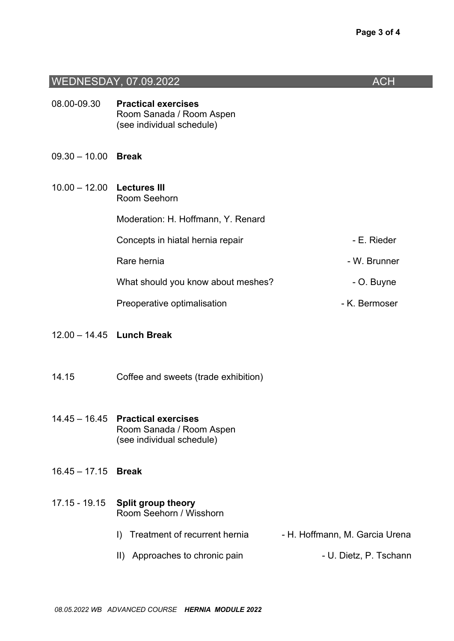|                 | WEDNESDAY, 07.09.2022                                                               | <b>ACH</b>                     |
|-----------------|-------------------------------------------------------------------------------------|--------------------------------|
| 08.00-09.30     | <b>Practical exercises</b><br>Room Sanada / Room Aspen<br>(see individual schedule) |                                |
| $09.30 - 10.00$ | <b>Break</b>                                                                        |                                |
| $10.00 - 12.00$ | <b>Lectures III</b><br>Room Seehorn                                                 |                                |
|                 | Moderation: H. Hoffmann, Y. Renard                                                  |                                |
|                 | Concepts in hiatal hernia repair                                                    | - E. Rieder                    |
|                 | Rare hernia                                                                         | - W. Brunner                   |
|                 | What should you know about meshes?                                                  | - O. Buyne                     |
|                 | Preoperative optimalisation                                                         | - K. Bermoser                  |
|                 | 12.00 - 14.45 Lunch Break                                                           |                                |
| 14.15           | Coffee and sweets (trade exhibition)                                                |                                |
| $14.45 - 16.45$ | <b>Practical exercises</b><br>Room Sanada / Room Aspen<br>(see individual schedule) |                                |
| $16.45 - 17.15$ | <b>Break</b>                                                                        |                                |
| 17.15 - 19.15   | <b>Split group theory</b><br>Room Seehorn / Wisshorn                                |                                |
|                 | Treatment of recurrent hernia<br>$\mathbf{D}$                                       | - H. Hoffmann, M. Garcia Urena |
|                 | II) Approaches to chronic pain                                                      | - U. Dietz, P. Tschann         |